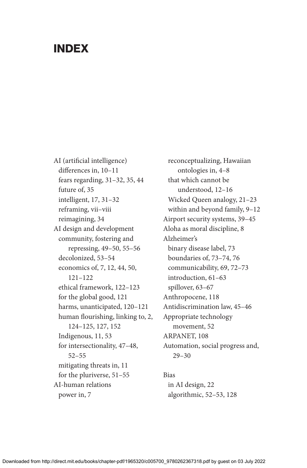## INDEX

AI (artificial intelligence) differences in, 10–11 fears regarding, 31–32, 35, 44 future of, 35 intelligent, 17, 31–32 reframing, vii–viii reimagining, 34 AI design and development community, fostering and repressing, 49–50, 55–56 decolonized, 53–54 economics of, 7, 12, 44, 50, 121–122 ethical framework, 122–123 for the global good, 121 harms, unanticipated, 120–121 human flourishing, linking to, 2, 124–125, 127, 152 Indigenous, 11, 53 for intersectionality, 47–48, 52–55 mitigating threats in, 11 for the pluriverse, 51–55 AI-human relations power in, 7

reconceptualizing, Hawaiian ontologies in, 4–8 that which cannot be understood, 12–16 Wicked Queen analogy, 21–23 within and beyond family, 9–12 Airport security systems, 39–45 Aloha as moral discipline, 8 Alzheimer's binary disease label, 73 boundaries of, 73–74, 76 communicability, 69, 72–73 introduction, 61–63 spillover, 63–67 Anthropocene, 118 Antidiscrimination law, 45–46 Appropriate technology movement, 52 ARPANET<sub>108</sub> Automation, social progress and, 29–30

## Bias in AI design, 22 algorithmic, 52–53, 128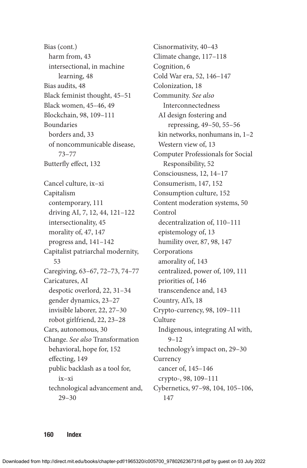Bias (cont.) harm from, 43 intersectional, in machine learning, 48 Bias audits, 48 Black feminist thought, 45–51 Black women, 45–46, 49 Blockchain, 98, 109–111 Boundaries borders and, 33 of noncommunicable disease, 73–77 Butterfly effect, 132 Cancel culture, ix–xi Capitalism contemporary, 111 driving AI, 7, 12, 44, 121–122 intersectionality, 45 morality of, 47, 147 progress and, 141–142 Capitalist patriarchal modernity, 53 Caregiving, 63–67, 72–73, 74–77 Caricatures, AI despotic overlord, 22, 31–34 gender dynamics, 23–27 invisible laborer, 22, 27–30 robot girlfriend, 22, 23–28 Cars, autonomous, 30 Change. *See also* Transformation behavioral, hope for, 152 effecting, 149 public backlash as a tool for, ix–xi technological advancement and, 29–30

Cisnormativity, 40–43 Climate change, 117–118 Cognition, 6 Cold War era, 52, 146–147 Colonization, 18 Community. *See also* Interconnectedness AI design fostering and repressing, 49–50, 55–56 kin networks, nonhumans in, 1–2 Western view of, 13 Computer Professionals for Social Responsibility, 52 Consciousness, 12, 14–17 Consumerism, 147, 152 Consumption culture, 152 Content moderation systems, 50 Control decentralization of, 110–111 epistemology of, 13 humility over, 87, 98, 147 Corporations amorality of, 143 centralized, power of, 109, 111 priorities of, 146 transcendence and, 143 Country, AI's, 18 Crypto-currency, 98, 109–111 Culture Indigenous, integrating AI with, 9–12 technology's impact on, 29–30 Currency cancer of, 145–146 crypto-, 98, 109–111 Cybernetics, 97–98, 104, 105–106, 147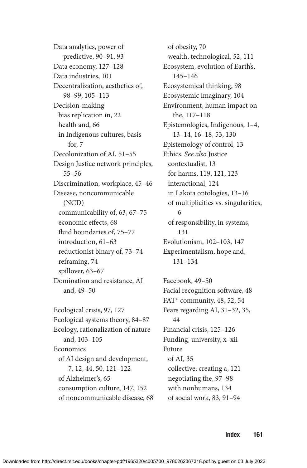Data analytics, power of predictive, 90–91, 93 Data economy, 127–128 Data industries, 101 Decentralization, aesthetics of, 98–99, 105–113 Decision-making bias replication in, 22 health and, 66 in Indigenous cultures, basis for, 7 Decolonization of AI, 51–55 Design Justice network principles, 55–56 Discrimination, workplace, 45–46 Disease, noncommunicable (NCD) communicability of, 63, 67–75 economic effects, 68 fluid boundaries of, 75–77 introduction, 61–63 reductionist binary of, 73–74 reframing, 74 spillover, 63–67 Domination and resistance, AI and, 49–50

Ecological crisis, 97, 127 Ecological systems theory, 84–87 Ecology, rationalization of nature and, 103–105 **Economics** of AI design and development, 7, 12, 44, 50, 121–122 of Alzheimer's, 65 consumption culture, 147, 152 of noncommunicable disease, 68

of obesity, 70 wealth, technological, 52, 111 Ecosystem, evolution of Earth's, 145–146 Ecosystemical thinking, 98 Ecosystemic imaginary, 104 Environment, human impact on the, 117–118 Epistemologies, Indigenous, 1–4, 13–14, 16–18, 53, 130 Epistemology of control, 13 Ethics. *See also* Justice contextualist, 13 for harms, 119, 121, 123 interactional, 124 in Lakota ontologies, 13–16 of multiplicities vs. singularities, 6 of responsibility, in systems, 131 Evolutionism, 102–103, 147 Experimentalism, hope and, 131–134

Facebook, 49–50 Facial recognition software, 48 FAT\* community, 48, 52, 54 Fears regarding AI, 31–32, 35, 44 Financial crisis, 125–126 Funding, university, x–xii Future of AI, 35 collective, creating a, 121 negotiating the, 97–98 with nonhumans, 134 of social work, 83, 91–94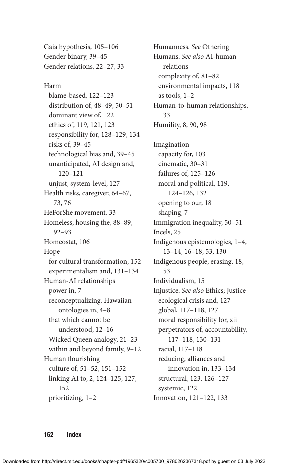Gaia hypothesis, 105–106 Gender binary, 39–45 Gender relations, 22–27, 33

Harm blame-based, 122–123 distribution of, 48–49, 50–51 dominant view of, 122 ethics of, 119, 121, 123 responsibility for, 128–129, 134 risks of, 39–45 technological bias and, 39–45 unanticipated, AI design and, 120–121 unjust, system-level, 127 Health risks, caregiver, 64–67, 73, 76 HeForShe movement, 33 Homeless, housing the, 88–89, 92–93 Homeostat, 106 Hope for cultural transformation, 152 experimentalism and, 131–134 Human-AI relationships power in, 7 reconceptualizing, Hawaiian ontologies in, 4–8 that which cannot be understood, 12–16 Wicked Queen analogy, 21–23 within and beyond family, 9–12 Human flourishing culture of, 51–52, 151–152 linking AI to, 2, 124–125, 127, 152 prioritizing, 1–2

Humanness. *See* Othering Humans. *See also* AI-human relations complexity of, 81–82 environmental impacts, 118 as tools, 1–2 Human-to-human relationships, 33 Humility, 8, 90, 98 Imagination capacity for, 103 cinematic, 30–31 failures of, 125–126 moral and political, 119, 124–126, 132 opening to our, 18 shaping, 7 Immigration inequality, 50–51 Incels, 25 Indigenous epistemologies, 1–4, 13–14, 16–18, 53, 130 Indigenous people, erasing, 18, 53 Individualism, 15 Injustice. *See also* Ethics; Justice ecological crisis and, 127 global, 117–118, 127 moral responsibility for, xii perpetrators of, accountability, 117–118, 130–131 racial, 117–118 reducing, alliances and innovation in, 133–134 structural, 123, 126–127 systemic, 122 Innovation, 121–122, 133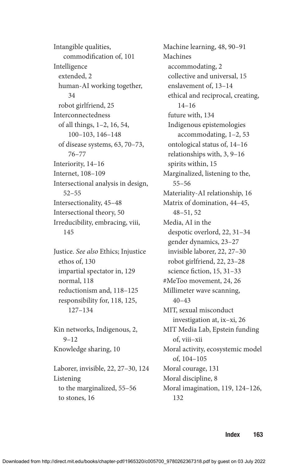Intangible qualities, commodification of, 101 Intelligence extended, 2 human-AI working together, 34 robot girlfriend, 25 Interconnectedness of all things, 1–2, 16, 54, 100–103, 146–148 of disease systems, 63, 70–73, 76–77 Interiority, 14–16 Internet, 108–109 Intersectional analysis in design, 52–55 Intersectionality, 45–48 Intersectional theory, 50 Irreducibility, embracing, viii, 145

Justice. *See also* Ethics; Injustice ethos of, 130 impartial spectator in, 129 normal, 118 reductionism and, 118–125 responsibility for, 118, 125, 127–134

Kin networks, Indigenous, 2, 9–12 Knowledge sharing, 10

Laborer, invisible, 22, 27–30, 124 Listening to the marginalized, 55–56 to stones, 16

Machine learning, 48, 90–91 Machines accommodating, 2 collective and universal, 15 enslavement of, 13–14 ethical and reciprocal, creating, 14–16 future with, 134 Indigenous epistemologies accommodating, 1–2, 53 ontological status of, 14–16 relationships with, 3, 9–16 spirits within, 15 Marginalized, listening to the, 55–56 Materiality-AI relationship, 16 Matrix of domination, 44–45, 48–51, 52 Media, AI in the despotic overlord, 22, 31–34 gender dynamics, 23–27 invisible laborer, 22, 27–30 robot girlfriend, 22, 23–28 science fiction, 15, 31–33 #MeToo movement, 24, 26 Millimeter wave scanning, 40–43 MIT, sexual misconduct investigation at, ix–xi, 26 MIT Media Lab, Epstein funding of, viii–xii Moral activity, ecosystemic model of, 104–105 Moral courage, 131 Moral discipline, 8 Moral imagination, 119, 124–126, 132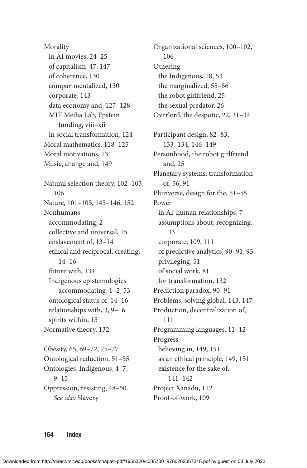Morality in AI movies, 24–25 of capitalism, 47, 147 of coherence, 130 compartmentalized, 130 corporate, 143 data economy and, 127–128 MIT Media Lab, Epstein funding, viii–xii in social transformation, 124 Moral mathematics, 118–125 Moral motivations, 131 Music, change and, 149 Natural selection theory, 102–103, 106 Nature, 101–105, 145–146, 152 Nonhumans accommodating, 2 collective and universal, 15 enslavement of, 13–14 ethical and reciprocal, creating, 14–16 future with, 134 Indigenous epistemologies accommodating, 1–2, 53 ontological status of, 14–16 relationships with, 3, 9–16 spirits within, 15 Normative theory, 132 Obesity, 65, 69–72, 75–77 Ontological reduction, 51–55 Ontologies, Indigenous, 4–7, 9–15 Oppression, resisting, 48–50.

Organizational sciences, 100–102, 106 Othering the Indigenous, 18, 53 the marginalized, 55–56 the robot girlfriend, 25 the sexual predator, 26 Overlord, the despotic, 22, 31–34 Participant design, 82–83, 133–134, 146–149 Personhood, the robot girlfriend and, 25 Planetary systems, transformation of, 56, 91 Pluriverse, design for the, 51–55 Power in AI-human relationships, 7 assumptions about, recognizing, 33 corporate, 109, 111 of predictive analytics, 90–91, 93 privileging, 51 of social work, 81 for transformation, 132 Prediction paradox, 90–91 Problems, solving global, 143, 147 Production, decentralization of, 111 Programming languages, 11–12 Progress believing in, 149, 151 as an ethical principle, 149, 151 existence for the sake of, 141–142 Project Xanadu, 112 Proof-of-work, 109

*See also* Slavery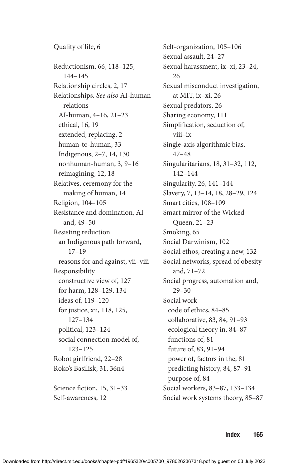Quality of life, 6 Reductionism, 66, 118–125, 144–145 Relationship circles, 2, 17 Relationships. *See also* AI-human relations AI-human, 4–16, 21–23 ethical, 16, 19 extended, replacing, 2 human-to-human, 33 Indigenous, 2–7, 14, 130 nonhuman-human, 3, 9–16 reimagining, 12, 18 Relatives, ceremony for the making of human, 14 Religion, 104–105 Resistance and domination, AI and, 49–50 Resisting reduction an Indigenous path forward, 17–19 reasons for and against, vii–viii Responsibility constructive view of, 127 for harm, 128–129, 134 ideas of, 119–120 for justice, xii, 118, 125, 127–134 political, 123–124 social connection model of, 123–125 Robot girlfriend, 22–28 Roko's Basilisk, 31, 36n4 Science fiction, 15, 31–33

Self-awareness, 12

Self-organization, 105–106 Sexual assault, 24–27 Sexual harassment, ix–xi, 23–24, 26 Sexual misconduct investigation, at MIT, ix–xi, 26 Sexual predators, 26 Sharing economy, 111 Simplification, seduction of, viii–ix Single-axis algorithmic bias, 47–48 Singularitarians, 18, 31–32, 112, 142–144 Singularity, 26, 141–144 Slavery, 7, 13–14, 18, 28–29, 124 Smart cities, 108–109 Smart mirror of the Wicked Queen, 21–23 Smoking, 65 Social Darwinism, 102 Social ethos, creating a new, 132 Social networks, spread of obesity and, 71–72 Social progress, automation and, 29–30 Social work code of ethics, 84–85 collaborative, 83, 84, 91–93 ecological theory in, 84–87 functions of, 81 future of, 83, 91–94 power of, factors in the, 81 predicting history, 84, 87–91 purpose of, 84 Social workers, 83–87, 133–134 Social work systems theory, 85–87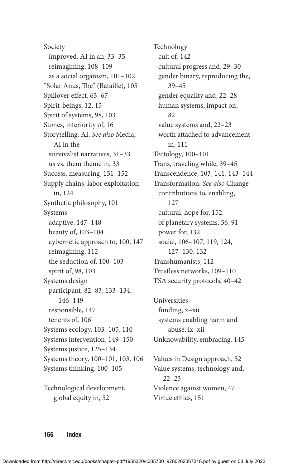Society improved, AI in an, 33–35 reimagining, 108–109 as a social organism, 101–102 "Solar Anus, The" (Bataille), 105 Spillover effect, 63–67 Spirit-beings, 12, 15 Spirit of systems, 98, 103 Stones, interiority of, 16 Storytelling, AI. *See also* Media, AI in the survivalist narratives, 31–33 us vs. them theme in, 33 Success, measuring, 151–152 Supply chains, labor exploitation in, 124 Synthetic philosophy, 101 Systems adaptive, 147–148 beauty of, 103–104 cybernetic approach to, 100, 147 reimagining, 112 the seduction of, 100–103 spirit of, 98, 103 Systems design participant, 82–83, 133–134, 146–149 responsible, 147 tenents of, 106 Systems ecology, 103–105, 110 Systems intervention, 149–150 Systems justice, 125–134 Systems theory, 100–101, 103, 106 Systems thinking, 100–105

Technological development, global equity in, 52

Technology cult of, 142 cultural progress and, 29–30 gender binary, reproducing the, 39–45 gender equality and, 22–28 human systems, impact on, 82 value systems and, 22–23 worth attached to advancement in, 111 Tectology, 100–101 Trans, traveling while, 39–45 Transcendence, 103, 141, 143–144 Transformation. *See also* Change contributions to, enabling, 127 cultural, hope for, 152 of planetary systems, 56, 91 power for, 132 social, 106–107, 119, 124, 127–130, 132 Transhumanists, 112 Trustless networks, 109–110 TSA security protocols, 40–42

Universities funding, x–xii systems enabling harm and abuse, ix–xii Unknowability, embracing, 145

Values in Design approach, 52 Value systems, technology and, 22–23 Violence against women, 47 Virtue ethics, 151

166 Index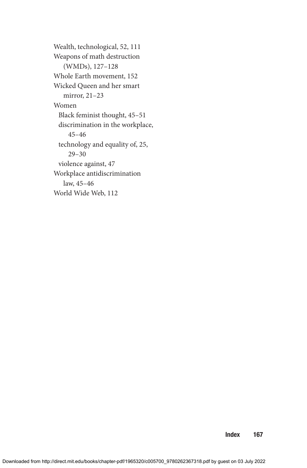Wealth, technological, 52, 111 Weapons of math destruction (WMDs), 127–128 Whole Earth movement, 152 Wicked Queen and her smart mirror, 21–23 Women Black feminist thought, 45–51 discrimination in the workplace, 45–46 technology and equality of, 25, 29–30 violence against, 47 Workplace antidiscrimination law, 45–46 World Wide Web, 112